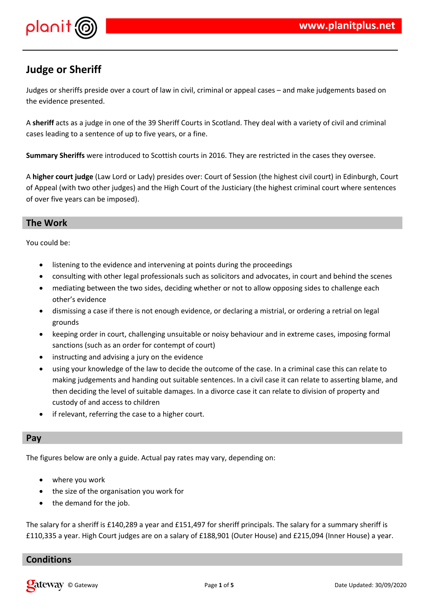

## **Judge or Sheriff**

Judges or sheriffs preside over a court of law in civil, criminal or appeal cases – and make judgements based on the evidence presented.

A **sheriff** acts as a judge in one of the 39 Sheriff Courts in Scotland. They deal with a variety of civil and criminal cases leading to a sentence of up to five years, or a fine.

**Summary Sheriffs** were introduced to Scottish courts in 2016. They are restricted in the cases they oversee.

A **higher court judge** (Law Lord or Lady) presides over: Court of Session (the highest civil court) in Edinburgh, Court of Appeal (with two other judges) and the High Court of the Justiciary (the highest criminal court where sentences of over five years can be imposed).

## **The Work**

You could be:

- listening to the evidence and intervening at points during the proceedings
- consulting with other legal professionals such as solicitors and advocates, in court and behind the scenes
- mediating between the two sides, deciding whether or not to allow opposing sides to challenge each other's evidence
- dismissing a case if there is not enough evidence, or declaring a mistrial, or ordering a retrial on legal grounds
- keeping order in court, challenging unsuitable or noisy behaviour and in extreme cases, imposing formal sanctions (such as an order for contempt of court)
- instructing and advising a jury on the evidence
- using your knowledge of the law to decide the outcome of the case. In a criminal case this can relate to making judgements and handing out suitable sentences. In a civil case it can relate to asserting blame, and then deciding the level of suitable damages. In a divorce case it can relate to division of property and custody of and access to children
- if relevant, referring the case to a higher court.

#### **Pay**

The figures below are only a guide. Actual pay rates may vary, depending on:

- where you work
- the size of the organisation you work for
- the demand for the job.

The salary for a sheriff is £140,289 a year and £151,497 for sheriff principals. The salary for a summary sheriff is £110,335 a year. High Court judges are on a salary of £188,901 (Outer House) and £215,094 (Inner House) a year.

## **Conditions**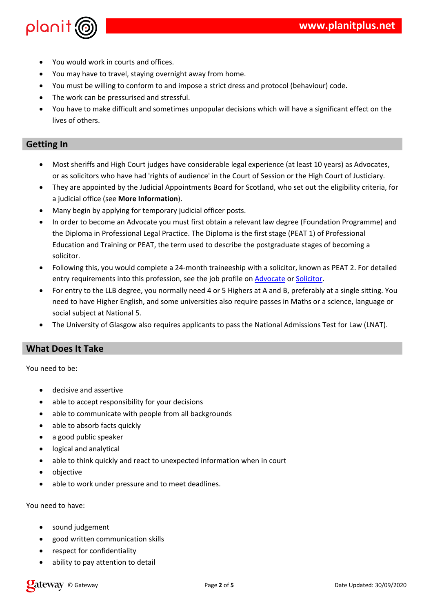| $\overline{2}$                       |                | $\#$         |                  | $\&$                                                                               |                           |                                  |                 |                            |            |                              |
|--------------------------------------|----------------|--------------|------------------|------------------------------------------------------------------------------------|---------------------------|----------------------------------|-----------------|----------------------------|------------|------------------------------|
| $\overline{2}$<br>$\pmb{\mathsf{l}}$ |                |              |                  |                                                                                    |                           | $\mathbf{I}$<br>$\frac{1}{8}$    |                 |                            |            |                              |
| $\overline{2}$<br>$\mathbf{I}$       | $\%$           |              |                  | $\pmb{\mathsf{I}}$ !                                                               |                           |                                  |                 | - %                        | $\sqrt{2}$ | $\pmb{8}$                    |
| $\star$                              | $\#$           | $\%$         |                  |                                                                                    | $\&$                      |                                  |                 |                            |            |                              |
| $\overline{c}$                       |                | $!$ #        |                  | $\pmb{\mathsf{l}}$<br>$\mathbf{I}% _{0}=\mathbf{I}_{\mathrm{Cov}}\times\mathbf{R}$ |                           |                                  |                 |                            |            |                              |
|                                      |                | $\&$         |                  |                                                                                    |                           |                                  |                 |                            |            |                              |
|                                      |                |              |                  |                                                                                    |                           |                                  |                 |                            |            |                              |
|                                      | Ţ              |              |                  |                                                                                    |                           |                                  |                 |                            |            |                              |
| $=$                                  |                | $\mathbf 1$  | $\mathcal{L}$    | \$                                                                                 |                           |                                  | $\mathcal{A}_b$ | +                          | $\gamma$   |                              |
|                                      |                |              |                  | $\qquad \qquad$                                                                    |                           | $>$ )                            | $\overline{(}$  | $\big)$<br>$\mathbf{1}$    |            | $\boldsymbol{\mathcal{S}}$   |
| $\star$                              |                |              | $\%$             | $\,$ $\,$                                                                          | $\mathbf{I}$              | $\overline{?}$<br>$\overline{(}$ |                 |                            | $\%$       |                              |
| $\boldsymbol{\mathsf{S}}$            |                |              | H                | I                                                                                  | /8                        |                                  |                 |                            |            |                              |
| $\equiv$                             | $\%$           | $\%$         | Ţ                | \$                                                                                 |                           |                                  | $\&$            |                            |            |                              |
| $\overline{5}$                       | $\%$           | $\mathbf{I}$ | $\blacksquare$   |                                                                                    | $\%$                      |                                  |                 | - $@$                      |            | $\prod_{i=1}^n \mathbb{Z}_p$ |
|                                      | Ţ              |              |                  |                                                                                    |                           | $\pmb{\&}$<br>$\mathbf{I}$       | $\star$         | $-0$ '*+/                  |            |                              |
| $\mathbf{0}$                         |                | $\star$      | $0'$ *           | $\mathbf{I}$                                                                       |                           |                                  | $\%$            |                            | $\%$       | Ţ                            |
|                                      | $\&$           |              |                  |                                                                                    |                           |                                  |                 |                            |            |                              |
| @                                    |                |              | Ţ                | 8 A!                                                                               |                           |                                  |                 | $\#$                       | & 0 $@^*$  |                              |
|                                      | $\sf B$        | $\mathbf{I}$ |                  |                                                                                    | $\boldsymbol{\mathsf{S}}$ | $\%$                             |                 |                            | $\pmb{8}$  |                              |
| $^\copyright$                        |                | $\ldots$ ?   |                  | J.                                                                                 | 8                         | $\therefore$ 1                   | $\mathbf{I}$    | %<br>$\overline{?}$        |            | $2\&$                        |
|                                      | $\overline{1}$ |              | $\pmb{0}$        |                                                                                    |                           | $\sf B$                          |                 | $\equiv$                   |            |                              |
|                                      |                | % \$ C       | $\mathbf{R}$ : & |                                                                                    |                           |                                  |                 |                            |            |                              |
| $\star$                              |                |              |                  | $\sf B$                                                                            |                           |                                  | $\mathsf C$     | $^{\prime}$ – $\mathbf{l}$ | $\star$    |                              |
|                                      |                |              |                  |                                                                                    |                           |                                  |                 |                            |            |                              |
| $\#$                                 | Ţ              |              |                  |                                                                                    |                           |                                  |                 |                            |            |                              |

 $\overline{c}$ 

 $\%$ 

 $\%$  $\frac{1}{2}$  $\frac{1}{2}$  $\sim11$  $\frac{1}{6}$  % #  $\%$  $\%$  $\frac{1}{2}$  $\sf B$  $\#$  $\%$  $#$  $\frac{1}{2}$  $# B$  $#$  $\frac{1}{2}$  $\overline{\mathbf{4}}$ %  $\frac{6}{9}$  $\%$  $\bar{1}$  $\&$  $\#$ 

 $\overline{c}$ 

 $\mathfrak s$  $\mathbf{I}$  $\bar{1}\bar{1}$  $\#$ 

 $\frac{1}{2}$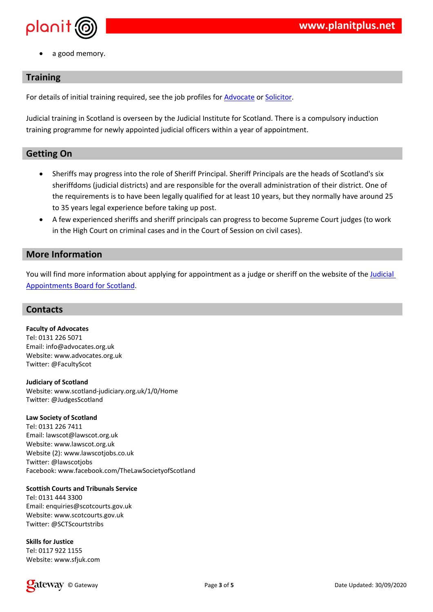$\qquad \qquad \vdots \qquad \qquad \text{8}$ 

| $^\text{\textregistered}$ |                                                                                                                                                                                                             |                                                                                                                                                                                                                                                                                                                                                                                                                                                                                                                                                                                                                                  | $$B\%$ $1$ $($ $8$                        |                                                             |                                                        |
|---------------------------|-------------------------------------------------------------------------------------------------------------------------------------------------------------------------------------------------------------|----------------------------------------------------------------------------------------------------------------------------------------------------------------------------------------------------------------------------------------------------------------------------------------------------------------------------------------------------------------------------------------------------------------------------------------------------------------------------------------------------------------------------------------------------------------------------------------------------------------------------------|-------------------------------------------|-------------------------------------------------------------|--------------------------------------------------------|
|                           | $\pm 1$                                                                                                                                                                                                     | $\boldsymbol{\mathsf{S}}$                                                                                                                                                                                                                                                                                                                                                                                                                                                                                                                                                                                                        | $\overline{(\ }$<br>5 %                   | $8^*$<br>$\mathbf{I}$<br>$\&$                               | $\mathbf{I}$                                           |
|                           | $\%$                                                                                                                                                                                                        |                                                                                                                                                                                                                                                                                                                                                                                                                                                                                                                                                                                                                                  |                                           |                                                             |                                                        |
|                           | $\overline{(\ }$<br>$\mathbf{I}$<br>49<br>B<br>$\mathbb{R}^n$ . The set<br>$\overline{4}$<br>$\mathbb{E}[\mathcal{E}_{\mathcal{A}}]$<br>$\mathbf{I}$<br>$\overline{4}$<br>1)<br>$\sim$ $\sim$ $\sim$ $\sim$ | $\begin{array}{ccc} \begin{array}{ccc} \end{array} & \begin{array}{ccc} \end{array} & \begin{array}{ccc} \end{array} & \begin{array}{ccc} \end{array} & \begin{array}{ccc} \end{array} & \begin{array}{ccc} \end{array} & \begin{array}{ccc} \end{array} & \begin{array}{ccc} \end{array} & \begin{array}{ccc} \end{array} & \begin{array}{ccc} \end{array} & \begin{array}{ccc} \end{array} & \begin{array}{ccc} \end{array} & \begin{array}{ccc} \end{array} & \begin{array}{ccc} \end{array} & \begin{array}{ccc} \end{array} & \begin{array}{ccc} \end{array} & \begin{array}{$<br>$\%$ B<br>$\%$ #<br>$\&$<br>$\mathcal{L}$ | $+$ $-$<br>$\%$<br>$\overline{a}$         | $\overline{(}$<br>%<br>$\mathbf{I}$<br>$!$ ( $!$ ) \$<br>/8 | > 4<br>$<$ &<br>$\ddot{\phantom{a}}$<br>$\blacksquare$ |
| $\mathbf{u}$              | Ţ                                                                                                                                                                                                           |                                                                                                                                                                                                                                                                                                                                                                                                                                                                                                                                                                                                                                  |                                           |                                                             |                                                        |
| $\overline{2}$            | <b>Controller</b><br>$\mathbf{I}$<br>$\&$<br>2                                                                                                                                                              | $\%$<br>$\mathcal{L}(\mathcal{L})$ and $\mathcal{L}(\mathcal{L})$ . In the $\mathcal{L}(\mathcal{L})$                                                                                                                                                                                                                                                                                                                                                                                                                                                                                                                            | $\, \, \raisebox{12pt}{$\scriptstyle \$}$ | $\%$                                                        |                                                        |
|                           |                                                                                                                                                                                                             |                                                                                                                                                                                                                                                                                                                                                                                                                                                                                                                                                                                                                                  |                                           |                                                             |                                                        |
| &<br>*<br>0 !<br>E %<br>* |                                                                                                                                                                                                             |                                                                                                                                                                                                                                                                                                                                                                                                                                                                                                                                                                                                                                  |                                           |                                                             |                                                        |
| $E_*$<br>$\%$             | 8 A \$<br>D<br>$\overline{a}$                                                                                                                                                                               | $8 \t 8 \t +$                                                                                                                                                                                                                                                                                                                                                                                                                                                                                                                                                                                                                    | $1 \quad 1$                               |                                                             |                                                        |
|                           | )<br>* + + , $\frac{1}{2}$<br>$\frac{1}{2}$<br>0! D & & #<br>E % & & & #<br>E % - /& \$ % & & #<br>* D \$ %<br><b>@</b> % # & % # & ! * . (<br>$\begin{array}{ccc} & & \\ \ast & & \\ & & \end{array}$      | $\overline{a}$                                                                                                                                                                                                                                                                                                                                                                                                                                                                                                                                                                                                                   |                                           |                                                             |                                                        |
|                           | * $+ + 888$<br>0! B D & & #<br>E % & & & #<br>$D()$ *( %                                                                                                                                                    |                                                                                                                                                                                                                                                                                                                                                                                                                                                                                                                                                                                                                                  |                                           |                                                             |                                                        |
| E %                       | * $++;$ $++$ :<br>8 \$ # 8 !                                                                                                                                                                                |                                                                                                                                                                                                                                                                                                                                                                                                                                                                                                                                                                                                                                  |                                           |                                                             |                                                        |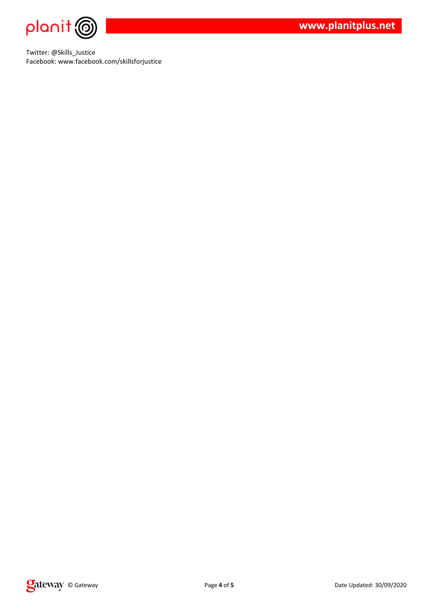

Twitter: @Skills\_Justice Facebook: www.facebook.com/skillsforjustice